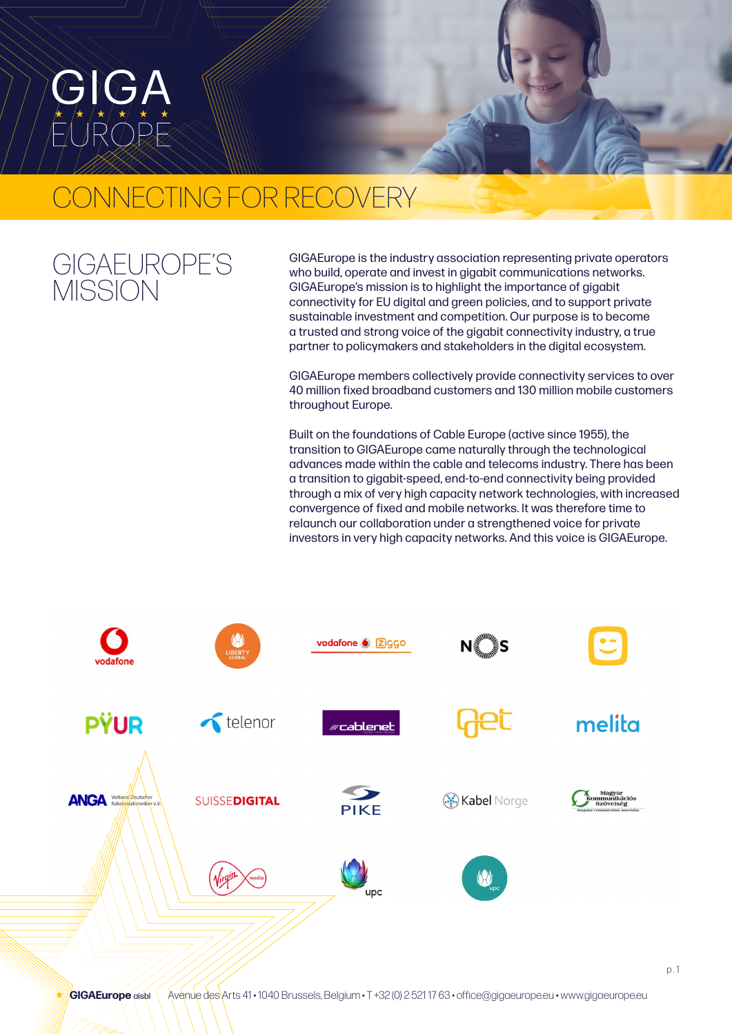# CONNECTING FOR RECOVERY

## GIGAEUROPE'S **MISSION**

GIGAEurope is the industry association representing private operators who build, operate and invest in gigabit communications networks. GIGAEurope's mission is to highlight the importance of gigabit connectivity for EU digital and green policies, and to support private sustainable investment and competition. Our purpose is to become a trusted and strong voice of the gigabit connectivity industry, a true partner to policymakers and stakeholders in the digital ecosystem.

GIGAEurope members collectively provide connectivity services to over 40 million fixed broadband customers and 130 million mobile customers throughout Europe.

Built on the foundations of Cable Europe (active since 1955), the transition to GIGAEurope came naturally through the technological advances made within the cable and telecoms industry. There has been a transition to gigabit-speed, end-to-end connectivity being provided through a mix of very high capacity network technologies, with increased convergence of fixed and mobile networks. It was therefore time to relaunch our collaboration under a strengthened voice for private investors in very high capacity networks. And this voice is GIGAEurope.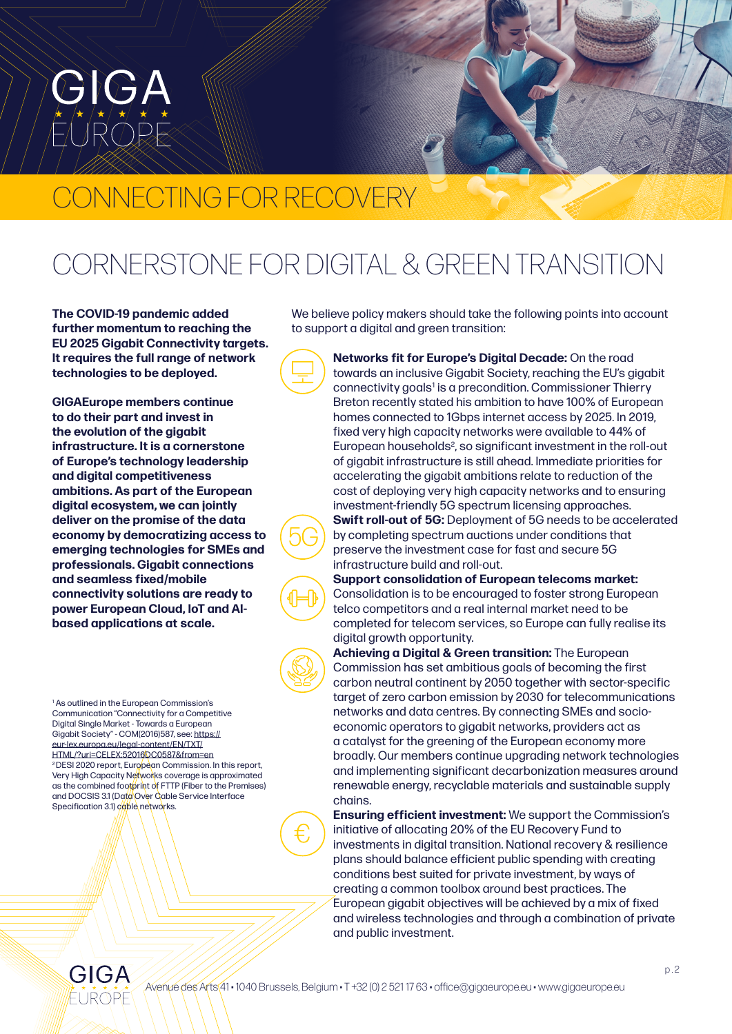# ONNECTING FOR RECOVERY

# CORNERSTONE FOR DIGITAL & GREEN TRANSITION

**The COVID-19 pandemic added further momentum to reaching the EU 2025 Gigabit Connectivity targets. It requires the full range of network technologies to be deployed.**

**GIGAEurope members continue to do their part and invest in the evolution of the gigabit infrastructure. It is a cornerstone of Europe's technology leadership and digital competitiveness ambitions. As part of the European digital ecosystem, we can jointly deliver on the promise of the data economy by democratizing access to emerging technologies for SMEs and professionals. Gigabit connections and seamless fixed/mobile connectivity solutions are ready to power European Cloud, IoT and AIbased applications at scale.**

1 As outlined in the European Commission's Communication "Connectivity for a Competitive Digital Single Market - Towards a European Gigabit Society" - COM(2016)587, see: [https://](https://eur-lex.europa.eu/legal-content/EN/TXT/HTML/?uri=CELEX:52016DC0587&from=en) [eur-lex.europa.eu/legal-content/EN/TXT/](https://eur-lex.europa.eu/legal-content/EN/TXT/HTML/?uri=CELEX:52016DC0587&from=en) [HTML/?uri=CELEX:52016DC0587&from=en](https://eur-lex.europa.eu/legal-content/EN/TXT/HTML/?uri=CELEX:52016DC0587&from=en) <sup>2</sup> DESI 2020 report, European Commission. In this report, Very High Capacity Networks coverage is approximated as the combined footprint of FTTP (Fiber to the Premises) and DOCSIS 3.1 (Data Over Cable Service Interface Specification 3.1) cable networks.

We believe policy makers should take the following points into account to support a digital and green transition:

> **Networks fit for Europe's Digital Decade:** On the road towards an inclusive Gigabit Society, reaching the EU's gigabit connectivity goals<sup>1</sup> is a precondition. Commissioner Thierry Breton recently stated his ambition to have 100% of European homes connected to 1Gbps internet access by 2025. In 2019, fixed very high capacity networks were available to 44% of European households<sup>2</sup>, so significant investment in the roll-out of gigabit infrastructure is still ahead. Immediate priorities for accelerating the gigabit ambitions relate to reduction of the cost of deploying very high capacity networks and to ensuring investment-friendly 5G spectrum licensing approaches. **Swift roll-out of 5G:** Deployment of 5G needs to be accelerated by completing spectrum auctions under conditions that preserve the investment case for fast and secure 5G infrastructure build and roll-out.

**Support consolidation of European telecoms market:**  Consolidation is to be encouraged to foster strong European telco competitors and a real internal market need to be completed for telecom services, so Europe can fully realise its digital growth opportunity.

**Achieving a Digital & Green transition:** The European Commission has set ambitious goals of becoming the first carbon neutral continent by 2050 together with sector-specific target of zero carbon emission by 2030 for telecommunications networks and data centres. By connecting SMEs and socioeconomic operators to gigabit networks, providers act as a catalyst for the greening of the European economy more broadly. Our members continue upgrading network technologies and implementing significant decarbonization measures around renewable energy, recyclable materials and sustainable supply chains.

**Ensuring efficient investment:** We support the Commission's initiative of allocating 20% of the EU Recovery Fund to investments in digital transition. National recovery & resilience plans should balance efficient public spending with creating conditions best suited for private investment, by ways of creating a common toolbox around best practices. The European gigabit objectives will be achieved by a mix of fixed and wireless technologies and through a combination of private and public investment.